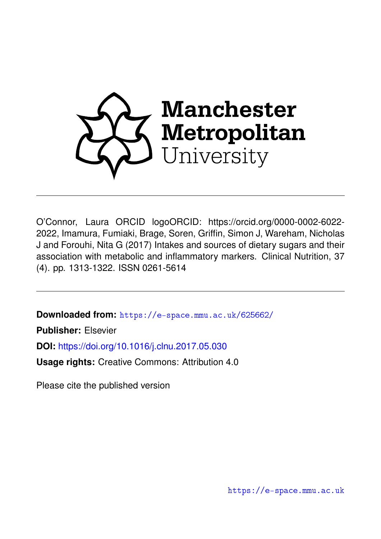

O'Connor, Laura ORCID logoORCID: https://orcid.org/0000-0002-6022- 2022, Imamura, Fumiaki, Brage, Soren, Griffin, Simon J, Wareham, Nicholas J and Forouhi, Nita G (2017) Intakes and sources of dietary sugars and their association with metabolic and inflammatory markers. Clinical Nutrition, 37 (4). pp. 1313-1322. ISSN 0261-5614

**Downloaded from:** <https://e-space.mmu.ac.uk/625662/>

**Publisher:** Elsevier

**DOI:** <https://doi.org/10.1016/j.clnu.2017.05.030>

**Usage rights:** Creative Commons: Attribution 4.0

Please cite the published version

<https://e-space.mmu.ac.uk>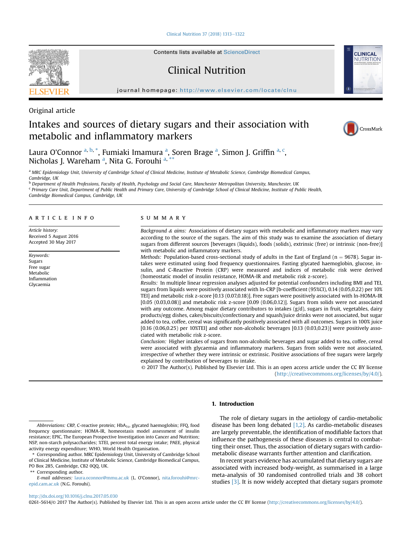[Clinical Nutrition 37 \(2018\) 1313](http://dx.doi.org/10.1016/j.clnu.2017.05.030)-[1322](http://dx.doi.org/10.1016/j.clnu.2017.05.030)

Original article

Contents lists available at ScienceDirect

Clinical Nutrition

journal homepage: <http://www.elsevier.com/locate/clnu>





# Intakes and sources of dietary sugars and their association with metabolic and inflammatory markers



**CLINICAL** NUTRITION

Laura O'Connor <sup>a, b,</sup> \*, Fumiaki Imamura <sup>a</sup>, Soren Brage <sup>a</sup>, Simon J. Griffin <sup>a, c</sup>, Nicholas J. Wareham <sup>a</sup>, Nita G. Forouhi <sup>a, \*\*</sup>

a MRC Epidemiology Unit, University of Cambridge School of Clinical Medicine, Institute of Metabolic Science, Cambridge Biomedical Campus, Cambridge, UK

**b** Department of Health Professions, Faculty of Health, Psychology and Social Care, Manchester Metropolitan University, Manchester, UK <sup>c</sup> Primary Care Unit, Department of Public Health and Primary Care, University of Cambridge School of Clinical Medicine, Institute of Public Health, Cambridge Biomedical Campus, Cambridge, UK

## article info

Article history: Received 5 August 2016 Accepted 30 May 2017

Keywords: Sugars Free sugar Metabolic Inflammation Glycaemia

## SUMMARY

Background  $\&$  aims: Associations of dietary sugars with metabolic and inflammatory markers may vary according to the source of the sugars. The aim of this study was to examine the association of dietary sugars from different sources [beverages (liquids), foods (solids), extrinsic (free) or intrinsic (non-free)] with metabolic and inflammatory markers.

Methods: Population-based cross-sectional study of adults in the East of England ( $n = 9678$ ). Sugar intakes were estimated using food frequency questionnaires. Fasting glycated haemoglobin, glucose, insulin, and C-Reactive Protein (CRP) were measured and indices of metabolic risk were derived (homeostatic model of insulin resistance, HOMA-IR and metabolic risk z-score).

Results: In multiple linear regression analyses adjusted for potential confounders including BMI and TEI, sugars from liquids were positively associated with ln-CRP [b-coefficient (95%CI), 0.14 (0.05,0.22) per 10% TEI] and metabolic risk z-score [0.13 (0.07,0.18)]. Free sugars were positively associated with ln-HOMA-IR [0.05 (0.03,0.08)] and metabolic risk z-score [0.09 (0.06,0.12)]. Sugars from solids were not associated with any outcome. Among major dietary contributors to intakes (g/d), sugars in fruit, vegetables, dairy products/egg dishes, cakes/biscuits/confectionary and squash/juice drinks were not associated, but sugar added to tea, coffee, cereal was significantly positively associated with all outcomes. Sugars in 100% juice [0.16 (0.06,0.25) per 10%TEI] and other non-alcoholic beverages [0.13 (0.03,0.23)] were positively associated with metabolic risk z-score.

Conclusion: Higher intakes of sugars from non-alcoholic beverages and sugar added to tea, coffee, cereal were associated with glycaemia and inflammatory markers. Sugars from solids were not associated, irrespective of whether they were intrinsic or extrinsic. Positive associations of free sugars were largely explained by contribution of beverages to intake.

© 2017 The Author(s). Published by Elsevier Ltd. This is an open access article under the CC BY license [\(http://creativecommons.org/licenses/by/4.0/](http://creativecommons.org/licenses/by/4.0/)).

# 1. Introduction

Abbreviations: CRP, C-reactive protein; HbA<sub>1c</sub>, glycated haemoglobin; FFQ, food frequency questionnaire; HOMA-IR, homeostasis model assessment of insulin resistance; EPIC, The European Prospective Investigation into Cancer and Nutrition; NSP, non-starch polysaccharides; %TEI, percent total energy intake; PAEE, physical activity energy expenditure; WHO, World Health Organisation.

\*\* Corresponding author.

The role of dietary sugars in the aetiology of cardio-metabolic disease has been long debated  $[1,2]$ . As cardio-metabolic diseases are largely preventable, the identification of modifiable factors that influence the pathogenesis of these diseases is central to combatting their onset. Thus, the association of dietary sugars with cardiometabolic disease warrants further attention and clarification.

In recent years evidence has accumulated that dietary sugars are associated with increased body-weight, as summarised in a large meta-analysis of 30 randomised controlled trials and 38 cohort studies [\[3\].](#page-10-0) It is now widely accepted that dietary sugars promote

## <http://dx.doi.org/10.1016/j.clnu.2017.05.030>

0261-5614/© 2017 The Author(s). Published by Elsevier Ltd. This is an open access article under the CC BY license ([http://creativecommons.org/licenses/by/4.0/\)](http://creativecommons.org/licenses/by/4.0/).

Corresponding author. MRC Epidemiology Unit, University of Cambridge School of Clinical Medicine, Institute of Metabolic Science, Cambridge Biomedical Campus, PO Box 285, Cambridge, CB2 0QQ, UK.

E-mail addresses: [laura.oconnor@mmu.ac.uk](mailto:laura.oconnor@mmu.ac.uk) (L. O'Connor), [nita.forouhi@mrc](mailto:nita.forouhi@mrc-epid.cam.ac.uk)[epid.cam.ac.uk](mailto:nita.forouhi@mrc-epid.cam.ac.uk) (N.G. Forouhi).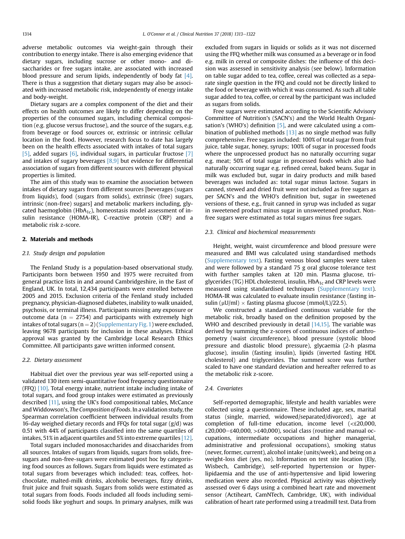adverse metabolic outcomes via weight-gain through their contribution to energy intake. There is also emerging evidence that dietary sugars, including sucrose or other mono- and disaccharides or free sugars intake, are associated with increased blood pressure and serum lipids, independently of body fat [\[4\].](#page-10-0) There is thus a suggestion that dietary sugars may also be associated with increased metabolic risk, independently of energy intake and body-weight.

Dietary sugars are a complex component of the diet and their effects on health outcomes are likely to differ depending on the properties of the consumed sugars, including chemical composition (e.g. glucose versus fructose), and the source of the sugars, e.g. from beverage or food sources or, extrinsic or intrinsic cellular location in the food. However, research focus to date has largely been on the health effects associated with intakes of total sugars [\[5\]](#page-10-0), added sugars [\[6\]](#page-10-0), individual sugars, in particular fructose [\[7\]](#page-10-0) and intakes of sugary beverages  $[8,9]$  but evidence for differential association of sugars from different sources with different physical properties is limited.

The aim of this study was to examine the association between intakes of dietary sugars from different sources [beverages (sugars from liquids), food (sugars from solids), extrinsic (free) sugars, intrinsic (non-free) sugars] and metabolic markers including, glycated haemoglobin (Hb $A_{1c}$ ), homeostasis model assessment of insulin resistance (HOMA-IR), C-reactive protein (CRP) and a metabolic risk z-score.

# 2. Materials and methods

## 2.1. Study design and population

The Fenland Study is a population-based observational study. Participants born between 1950 and 1975 were recruited from general practice lists in and around Cambridgeshire, in the East of England, UK. In total, 12,434 participants were enrolled between 2005 and 2015. Exclusion criteria of the Fenland study included pregnancy, physician-diagnosed diabetes, inability to walk unaided, psychosis, or terminal illness. Participants missing any exposure or outcome data ( $n = 2754$ ) and participants with extremely high intakes of total sugars ( $n = 2$ ) (Supplementary Fig. 1) were excluded, leaving 9678 participants for inclusion in these analyses. Ethical approval was granted by the Cambridge Local Research Ethics Committee. All participants gave written informed consent.

## 2.2. Dietary assessment

Habitual diet over the previous year was self-reported using a validated 130 item semi-quantitative food frequency questionnaire (FFQ)  $[10]$ . Total energy intake, nutrient intake including intake of total sugars, and food group intakes were estimated as previously described [\[11\]](#page-10-0), using the UK's food compositional tables, McCance and Widdowson's, The Composition of Foods. In a validation study, the Spearman correlation coefficient between individual results from 16-day weighed dietary records and FFQs for total sugar  $(g/d)$  was 0.51 with 44% of participants classified into the same quartiles of intakes, 51% in adjacent quartiles and 5% into extreme quartiles [\[12\].](#page-10-0)

Total sugars included monosaccharides and disaccharides from all sources. Intakes of sugars from liquids, sugars from solids, freesugars and non-free-sugars were estimated post hoc by categorising food sources as follows. Sugars from liquids were estimated as total sugars from beverages which included: teas, coffees, hotchocolate, malted-milk drinks, alcoholic beverages, fizzy drinks, fruit juice and fruit squash. Sugars from solids were estimated as total sugars from foods. Foods included all foods including semisolid foods like yoghurt and soups. In primary analyses, milk was excluded from sugars in liquids or solids as it was not discerned using the FFQ whether milk was consumed as a beverage or in food e.g. milk in cereal or composite dishes: the influence of this decision was assessed in sensitivity analysis (see below). Information on table sugar added to tea, coffee, cereal was collected as a separate single question in the FFQ and could not be directly linked to the food or beverage with which it was consumed. As such all table sugar added to tea, coffee, or cereal by the participant was included as sugars from solids.

Free sugars were estimated according to the Scientific Advisory Committee of Nutrition's (SACN's) and the World Health Organisation's (WHO's) definition  $[5]$ , and were calculated using a combination of published methods  $[13]$  as no single method was fully comprehensive. Free sugars included: 100% of total sugar from fruit juice, table sugar, honey, syrups; 100% of sugar in processed foods where the unprocessed product has no naturally occurring sugar e.g. meat; 50% of total sugar in processed foods which also had naturally occurring sugar e.g. refined cereal, baked beans. Sugar in milk was excluded but, sugar in dairy products and milk based beverages was included as: total sugar minus lactose. Sugars in canned, stewed and dried fruit were not included as free sugars as per SACN's and the WHO's definition but, sugar in sweetened versions of these, e.g., fruit canned in syrup was included as sugar in sweetened product minus sugar in unsweetened product. Nonfree sugars were estimated as total sugars minus free sugars.

# 2.3. Clinical and biochemical measurements

Height, weight, waist circumference and blood pressure were measured and BMI was calculated using standardised methods (Supplementary text). Fasting venous blood samples were taken and were followed by a standard 75 g oral glucose tolerance test with further samples taken at 120 min. Plasma glucose, triglycerides (TG) HDL cholesterol, insulin,  $HbA_{1c}$  and CRP levels were measured using standardised techniques (Supplementary text). HOMA-IR was calculated to evaluate insulin resistance (fasting insulin ( $\mu$ U/ml)  $\times$  fasting plasma glucose (mmol/L)/22.5).

We constructed a standardised continuous variable for the metabolic risk, broadly based on the definition proposed by the WHO and described previously in detail [\[14,15\].](#page-10-0) The variable was derived by summing the z-scores of continuous indices of anthropometry (waist circumference), blood pressure (systolic blood pressure and diastolic blood pressure), glycaemia (2-h plasma glucose), insulin (fasting insulin), lipids (inverted fasting HDL cholesterol) and triglycerides. The summed score was further scaled to have one standard deviation and hereafter referred to as the metabolic risk z-score.

## 2.4. Covariates

Self-reported demographic, lifestyle and health variables were collected using a questionnaire. These included age, sex, marital status (single, married, widowed/separated/divorced), age at completion of full-time education, income level (<£20,000,  $£20,000–£40,000, >£40,000$ , social class (routine and manual occupations, intermediate occupations and higher managerial, administrative and professional occupations), smoking status (never, former, current), alcohol intake (units/week), and being on a weight-loss diet (yes, no). Information on test site location (Ely, Wisbech, Cambridge), self-reported hypertension or hyperlipidaemia and the use of anti-hypertensive and lipid lowering medication were also recorded. Physical activity was objectively assessed over 6 days using a combined heart rate and movement sensor (Actiheart, CamNTech, Cambridge, UK), with individual calibration of heart rate performed using a treadmill test. Data from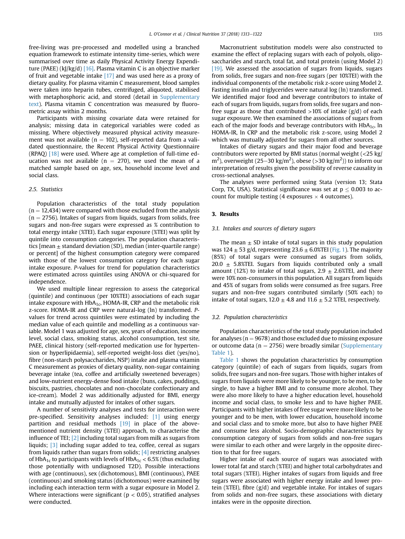free-living was pre-processed and modelled using a branched equation framework to estimate intensity time-series, which were summarised over time as daily Physical Activity Energy Expenditure (PAEE) (kJ/kg/d) [\[16\].](#page-10-0) Plasma vitamin C is an objective marker of fruit and vegetable intake [\[17\]](#page-10-0) and was used here as a proxy of dietary quality. For plasma vitamin C measurement, blood samples were taken into heparin tubes, centrifuged, aliquoted, stabilised with metaphosphoric acid, and stored (detail in Supplementary text). Plasma vitamin C concentration was measured by fluorometric assay within 2 months.

Participants with missing covariate data were retained for analysis; missing data in categorical variables were coded as missing. Where objectively measured physical activity measurement was not available ( $n = 102$ ), self-reported data from a validated questionnaire, the Recent Physical Activity Questionnaire  $(RPAQ)$  [\[18\]](#page-10-0) were used. Where age at completion of full-time education was not available ( $n = 270$ ), we used the mean of a matched sample based on age, sex, household income level and social class.

## 2.5 Statistics

Population characteristics of the total study population  $(n = 12,434)$  were compared with those excluded from the analysis  $(n = 2756)$ . Intakes of sugars from liquids, sugars from solids, free sugars and non-free sugars were expressed as % contribution to total energy intake (%TEI). Each sugar exposure (%TEI) was split by quintile into consumption categories. The population characteristics  $[mean \pm standard deviation (SD)$ , median (inter-quartile range) or percent] of the highest consumption category were compared with those of the lowest consumption category for each sugar intake exposure. P-values for trend for population characteristics were estimated across quintiles using ANOVA or chi-squared for independence.

We used multiple linear regression to assess the categorical (quintile) and continuous (per 10%TEI) associations of each sugar intake exposure with  $HbA_{1c}$ , HOMA-IR, CRP and the metabolic risk z-score. HOMA-IR and CRP were natural-log (ln) transformed. Pvalues for trend across quintiles were estimated by including the median value of each quintile and modelling as a continuous variable. Model 1 was adjusted for age, sex, years of education, income level, social class, smoking status, alcohol consumption, test site, PAEE, clinical history (self-reported medication use for hypertension or hyperlipidaemia), self-reported weight-loss diet (yes/no), fibre (non-starch polysaccharides, NSP) intake and plasma vitamin C measurement as proxies of dietary quality, non-sugar containing beverage intake (tea, coffee and artificially sweetened beverages) and low-nutrient energy-dense food intake (buns, cakes, puddings, biscuits, pastries, chocolates and non-chocolate confectionary and ice-cream). Model 2 was additionally adjusted for BMI, energy intake and mutually adjusted for intakes of other sugars.

A number of sensitivity analyses and tests for interaction were pre-specified. Sensitivity analyses included: [\[1\]](#page-10-0) using energy partition and residual methods [\[19\]](#page-10-0) in place of the abovementioned nutrient density (%TEI) approach, to characterise the influence of TEI; [\[2\]](#page-10-0) including total sugars from milk as sugars from liquids; [\[3\]](#page-10-0) including sugar added to tea, coffee, cereal as sugars from liquids rather than sugars from solids;  $[4]$  restricting analyses of HbA<sub>1c</sub> to participants with levels of HbA<sub>1c</sub> < 6.5% (thus excluding those potentially with undiagnosed T2D). Possible interactions with age (continuous), sex (dichotomous), BMI (continuous), PAEE (continuous) and smoking status (dichotomous) were examined by including each interaction term with a sugar exposure in Model 2. Where interactions were significant ( $p < 0.05$ ), stratified analyses were conducted.

Macronutrient substitution models were also constructed to examine the effect of replacing sugars with each of polyols, oligosaccharides and starch, total fat, and total protein (using Model 2) [\[19\]](#page-10-0). We assessed the association of sugars from liquids, sugars from solids, free sugars and non-free sugars (per 10%TEI) with the individual components of the metabolic risk z-score using Model 2. Fasting insulin and triglycerides were natural log (ln) transformed. We identified major food and beverage contributors to intake of each of sugars from liquids, sugars from solids, free sugars and nonfree sugar as those that contributed  $>10\%$  of intake (g/d) of each sugar exposure. We then examined the associations of sugars from each of the major foods and beverage contributors with  $HbA_{1c}$ , ln HOMA-IR, ln CRP and the metabolic risk z-score, using Model 2 which was mutually adjusted for sugars from all other sources.

Intakes of dietary sugars and their major food and beverage contributors were reported by BMI status (normal weight (<25 kg/ m<sup>2</sup>), overweight (25–30 kg/m<sup>2</sup>), obese (>30 kg/m<sup>2</sup>)) to inform our interpretation of results given the possibility of reverse causality in cross-sectional analyses.

The analyses were performed using Stata (version 13; Stata Corp, TX, USA). Statistical significance was set at  $p \leq 0.003$  to account for multiple testing (4 exposures  $\times$  4 outcomes).

## 3. Results

# 3.1. Intakes and sources of dietary sugars

The mean  $\pm$  SD intake of total sugars in this study population was  $124 \pm 53$  g/d, representing  $23.6 \pm 6.0$  XTEI ([Fig. 1\)](#page-4-0). The majority (85%) of total sugars were consumed as sugars from solids, 20.0  $\pm$  5.8%TEI. Sugars from liquids contributed only a small amount (12%) to intake of total sugars,  $2.9 \pm 2.6$ %TEI, and there were 10% non-consumers in this population. All sugars from liquids and 45% of sugars from solids were consumed as free sugars. Free sugars and non-free sugars contributed similarly (50% each) to intake of total sugars,  $12.0 \pm 4.8$  and  $11.6 \pm 5.2$  *%TEI*, respectively.

## 3.2. Population characteristics

Population characteristics of the total study population included for analyses ( $n = 9678$ ) and those excluded due to missing exposure or outcome data ( $n = 2756$ ) were broadly similar (Supplementary Table 1).

[Table 1](#page-5-0) shows the population characteristics by consumption category (quintile) of each of sugars from liquids, sugars from solids, free sugars and non-free sugars. Those with higher intakes of sugars from liquids were more likely to be younger, to be men, to be single, to have a higher BMI and to consume more alcohol. They were also more likely to have a higher education level, household income and social class, to smoke less and to have higher PAEE. Participants with higher intakes of free sugar were more likely to be younger and to be men, with lower education, household income and social class and to smoke more, but also to have higher PAEE and consume less alcohol. Socio-demographic characteristics by consumption category of sugars from solids and non-free sugars were similar to each other and were largely in the opposite direction to that for free sugars.

Higher intake of each source of sugars was associated with lower total fat and starch (%TEI) and higher total carbohydrates and total sugars (%TEI). Higher intakes of sugars from liquids and free sugars were associated with higher energy intake and lower protein (%TEI), fibre (g/d) and vegetable intake. For intakes of sugars from solids and non-free sugars, these associations with dietary intakes were in the opposite direction.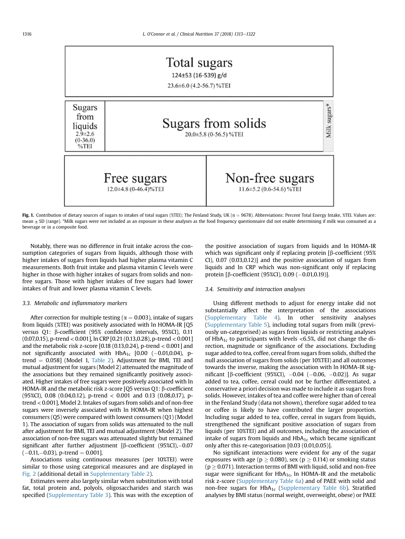<span id="page-4-0"></span>

Fig. 1. Contribution of dietary sources of sugars to intakes of total sugars (%TEI); The Fenland Study, UK ( $n = 9678$ ). Abbreviations: Percent Total Energy Intake, %TEI. Values are: mean  $\pm$  SD (range). \*Milk sugars were not included as an exposure in these analyses as the food frequency questionnaire did not enable determining if milk was consumed as a beverage or in a composite food.

Notably, there was no difference in fruit intake across the consumption categories of sugars from liquids, although those with higher intakes of sugars from liquids had higher plasma vitamin C measurements. Both fruit intake and plasma vitamin C levels were higher in those with higher intakes of sugars from solids and nonfree sugars. Those with higher intakes of free sugars had lower intakes of fruit and lower plasma vitamin C levels.

# 3.3. Metabolic and inflammatory markers

After correction for multiple testing ( $\alpha = 0.003$ ), intake of sugars from liquids (%TEI) was positively associated with ln HOMA-IR [Q5 versus Q1: β-coefficient (95% confidence intervals, 95%CI), 0.11 (0.07,0.15), p-trend < 0.001], ln CRP [0.21 (0.13,0.28), p-trend < 0.001] and the metabolic risk z-score [0.18 (0.13,0.24), p-trend < 0.001] and not significantly associated with  $HbA_{1c}$  [0.00 (-0.01,0.04), ptrend  $= 0.058$ ] (Model 1, [Table 2](#page-6-0)). Adjustment for BMI, TEI and mutual adjustment for sugars (Model 2) attenuated the magnitude of the associations but they remained significantly positively associated. Higher intakes of free sugars were positively associated with ln HOMA-IR and the metabolic risk z-score [Q5 versus Q1:  $\beta$ -coefficient (95%CI), 0.08 (0.04,0.12), p-trend < 0.001 and 0.13 (0.08,0.17), ptrend < 0.001], Model 2. Intakes of sugars from solids and of non-free sugars were inversely associated with ln HOMA-IR when highest consumers (Q5) were compared with lowest consumers (Q1) (Model 1). The association of sugars from solids was attenuated to the null after adjustment for BMI, TEI and mutual adjustment (Model 2). The association of non-free sugars was attenuated slightly but remained significant after further adjustment [ $\beta$ -coefficient (95%CI),-0.07  $(-0.11,-0.03)$ , p-trend = 0.001].

Associations using continuous measures (per 10%TEI) were similar to those using categorical measures and are displayed in [Fig. 2](#page-8-0) (additional detail in Supplementary Table 2).

Estimates were also largely similar when substitution with total fat, total protein and, polyols, oligosaccharides and starch was specified (Supplementary Table 3). This was with the exception of the positive association of sugars from liquids and ln HOMA-IR which was significant only if replacing protein  $\beta$ -coefficient (95%) CI), 0.07 (0.03,0.12)] and the positive association of sugars from liquids and ln CRP which was non-significant only if replacing protein [ $\beta$ -coefficient (95%CI), 0.09 (-0.01,0.19)].

# 3.4. Sensitivity and interaction analyses

Using different methods to adjust for energy intake did not substantially affect the interpretation of the associations (Supplementary Table 4). In other sensitivity analyses (Supplementary Table 5), including total sugars from milk (previously un-categorised) as sugars from liquids or restricting analyses of HbA<sub>1c</sub> to participants with levels <6.5%, did not change the direction, magnitude or significance of the associations. Excluding sugar added to tea, coffee, cereal from sugars from solids, shifted the null association of sugars from solids (per 10%TEI) and all outcomes towards the inverse, making the association with ln HOMA-IR significant [β-coefficient (95%CI),  $-0.04$  ( $-0.06$ ,  $-0.02$ )]. As sugar added to tea, coffee, cereal could not be further differentiated, a conservative a priori decision was made to include it as sugars from solids. However, intakes of tea and coffee were higher than of cereal in the Fenland Study (data not shown), therefore sugar added to tea or coffee is likely to have contributed the larger proportion. Including sugar added to tea, coffee, cereal in sugars from liquids, strengthened the significant positive association of sugars from liquids (per 10%TEI) and all outcomes, including the association of intake of sugars from liquids and  $HbA_{1c}$  which became significant only after this re-categorisation [0.03 (0.01,0.05)].

No significant interactions were evident for any of the sugar exposures with age ( $p > 0.080$ ), sex ( $p > 0.114$ ) or smoking status  $(p \geq 0.071)$ . Interaction terms of BMI with liquid, solid and non-free sugar were significant for  $HbA_{1c}$ , ln HOMA-IR and the metabolic risk z-score (Supplementary Table 6a) and of PAEE with solid and non-free sugars for  $HbA_{1c}$  (Supplementary Table 6b). Stratified analyses by BMI status (normal weight, overweight, obese) or PAEE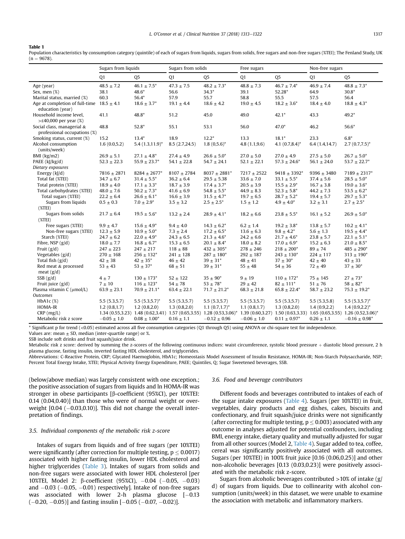# <span id="page-5-0"></span>Table 1

Population characteristics by consumption category (quintile) of each of sugars from liquids, sugars from solids, free sugars and non-free sugars (%TEI); The Fenland Study, UK  $(n = 9678)$ .

|                                                                   | Sugars from liquids |                            | Sugars from solids |                   | Free sugars     |                    | Non-free sugars |                                                                                                                                           |
|-------------------------------------------------------------------|---------------------|----------------------------|--------------------|-------------------|-----------------|--------------------|-----------------|-------------------------------------------------------------------------------------------------------------------------------------------|
|                                                                   | Q <sub>1</sub>      | Q <sub>5</sub>             | Q <sub>1</sub>     | Q <sub>5</sub>    | Q <sub>1</sub>  | Q <sub>5</sub>     | Q <sub>1</sub>  | Q <sub>5</sub>                                                                                                                            |
| Age (year)                                                        | $48.5 \pm 7.2$      | $46.1 \pm 7.5^*$           | $47.3 \pm 7.5$     | $48.2 \pm 7.3^*$  | $48.8 \pm 7.3$  | $46.7 \pm 7.4^*$   | $46.9 \pm 7.4$  | $48.8 \pm 7.3^*$                                                                                                                          |
| Sex, men (%)                                                      | 38.1                | 48.6*                      | 56.6               | $34.3*$           | 39.1            | 52.28*             | 64.9            | $30.8*$                                                                                                                                   |
| Marital status, married (%)                                       | 60.3                | 56.4*                      | 57.9               | 55.7              | 58.8            | 55.5               | 57.5            | 56.4                                                                                                                                      |
| Age at completion of full-time $18.5 \pm 4.1$<br>education (year) |                     | $18.6 \pm 3.7^*$           | $19.1 \pm 4.4$     | $18.6 \pm 4.2$    | $19.0 \pm 4.5$  | $18.2 \pm 3.6^*$   | $18.4 \pm 4.0$  | $18.8 \pm 4.3^*$                                                                                                                          |
| Household income level,<br>$>£40,000$ per year $(\%)$             | 41.1                | $48.8*$                    | 51.2               | 45.0              | 49.0            | $42.1*$            | 43.3            | $49.2*$                                                                                                                                   |
| Social class, managerial &<br>professional occupations (%)        | 48.8                | $52.8*$                    | 55.1               | 53.1              | 56.0            | $47.0*$            | 46.2            | 56.6*                                                                                                                                     |
| Smoking status, current (%)                                       | 15.2                | $13.4*$                    | 18.9               | $12.2*$           | 13.3            | $18.1*$            | 23.3            | $6.8*$                                                                                                                                    |
| Alcohol consumption<br>(units/week)                               | 1.6(0.0,5.2)        | $5.4(1.3,11.9)^{*}$        | 8.5(2.7,24.5)      | $1.8(0,5.6)^*$    | 4.8(1.1, 9.6)   | 4.1 $(0.7, 8.4)^*$ | 6.4(1.4, 14.7)  | $2.7(0.7,7.5)^*$                                                                                                                          |
| BMI (kg/m2)                                                       | $26.9 \pm 5.1$      | $27.1 \pm 4.8^*$           | $27.4 \pm 4.9$     | $26.6 \pm 5.0^*$  | $27.0 \pm 5.0$  | $27.0 \pm 4.9$     | $27.5 \pm 5.0$  | $26.7 \pm 5.0^*$                                                                                                                          |
| PAEE $(k)/kg/d)$                                                  | $52.3 \pm 22.3$     | $55.9 \pm 23.7^*$          | $54.1 \pm 22.8$    | $54.7 \pm 24.1$   | $52.1 \pm 22.1$ | $57.3 \pm 24.6^*$  | $56.1 \pm 24.0$ | $53.7 \pm 22.7^*$                                                                                                                         |
| Dietary exposures                                                 |                     |                            |                    |                   |                 |                    |                 |                                                                                                                                           |
| Energy $(k]/d$ )                                                  | $7816 \pm 2871$     | $8284 \pm 2677$ *          | $8107 + 2784$      | $8037 \pm 2881^*$ | $7217 \pm 2522$ | $9418 \pm 3392^*$  | $9396 \pm 3480$ | $7189 \pm 2317^*$                                                                                                                         |
| Total fat (%TEI)                                                  | $34.7 \pm 6.7$      | $31.4 \pm 5.5^*$           | $36.2 \pm 6.4$     | $29.5 \pm 5.38$   | $33.6 \pm 7.0$  | $33.1 \pm 5.5^*$   | $37.4 \pm 5.6$  | $28.5 \pm 5.0^*$                                                                                                                          |
| Total protein (%TEI)                                              | $18.9 \pm 4.0$      | $17.1 \pm 3.3^*$           | $18.7 \pm 3.9$     | $17.4 \pm 3.7^*$  | $20.5 \pm 3.9$  | $15.5 \pm 2.9^*$   | $16.7 \pm 3.8$  | $19.0 \pm 3.6^*$                                                                                                                          |
| Total carbohydrates (%TEI)                                        | $48.0 \pm 7.6$      | $50.2 \pm 7.3^*$           | $41.6 \pm 6.9$     | $54.8 \pm 5.5^*$  | $44.9 \pm 8.3$  | $52.3 \pm 5.8^*$   | $44.2 \pm 7.3$  | $53.5 \pm 6.2^*$                                                                                                                          |
| Total sugars (%TEI)                                               | $22.2 \pm 6.4$      | $26.6 \pm 6.1^*$           | $16.6 \pm 3.9$     | $31.5 \pm 4.7^*$  | $19.7 \pm 6.5$  | $28.7 \pm 5.2^*$   | $19.4 \pm 5.7$  | $29.7 \pm 5.3^*$                                                                                                                          |
| Sugars from liquids                                               | $0.5 \pm 0.3$       | $7.0 \pm 2.9^*$            | $3.5 \pm 3.2$      | $2.5 \pm 2.5^*$   | $1.5 \pm 1.2$   | $4.9 \pm 4.0^*$    | $3.2 \pm 3.1$   | $2.7 \pm 2.5^*$                                                                                                                           |
| $(\text{\%TEI})$                                                  |                     |                            |                    |                   |                 |                    |                 |                                                                                                                                           |
| Sugars from solids                                                | $21.7\pm6.4$        | $19.5 \pm 5.6^*$           | $13.2 \pm 2.4$     | $28.9 \pm 4.1^*$  | $18.2 \pm 6.6$  | $23.8 \pm 5.5^*$   | $16.1 \pm 5.2$  | $26.9 \pm 5.0^*$                                                                                                                          |
| $(\text{\%TEI})$                                                  |                     |                            |                    |                   |                 |                    |                 |                                                                                                                                           |
| Free sugars (%TEI)                                                | $9.9 \pm 4.7$       | $15.6 \pm 4.9^*$           | $9.4 \pm 4.0$      | $14.3 \pm 6.2^*$  | $6.2 \pm 1.4$   | $19.2 \pm 3.8^*$   | $13.8 \pm 5.7$  | $10.2 \pm 4.1^*$                                                                                                                          |
| Non-free sugars (%TEI)                                            | $12.3 \pm 5.9$      | $10.9 \pm 5.0^*$           | $7.3 \pm 2.4$      | $17.2 \pm 6.5^*$  | $13.6 \pm 6.3$  | $9.8 \pm 4.2^*$    | $5.6 \pm 1.3$   | $19.5 \pm 4.4^*$                                                                                                                          |
| Starch (%TEI)                                                     | $24.7 \pm 6.2$      | $22.0 \pm 4.9^*$           | $24.3 \pm 6.5$     | $21.3 \pm 4.6^*$  | $24.2 \pm 6.6$  | $21.7 \pm 4.6^*$   | $23.8 \pm 5.7$  | $22.1 \pm 5.1^*$                                                                                                                          |
| Fibre, NSP $(g/d)$                                                | $18.0 \pm 7.7$      | $16.8 \pm 6.7^*$           | $15.3 \pm 6.5$     | $20.1 \pm 8.4^*$  | $18.0 \pm 8.2$  | $17.0 \pm 6.9^*$   | $15.2 \pm 6.3$  | $21.0 \pm 8.5^*$                                                                                                                          |
| Fruit $(g/d)$                                                     | $247 \pm 223$       | $247 \pm 217$              | $118 \pm 88$       | $432 \pm 305^*$   | $278 \pm 246$   | $218 \pm 200^*$    | $89 \pm 74$     | $485\pm290^*$                                                                                                                             |
| Vegetables $(g/d)$                                                | $270 \pm 168$       | $256 \pm 132^*$            | $241 \pm 128$      | $287 \pm 180^*$   | $292 \pm 187$   | $243 \pm 130^*$    | $224 \pm 117$   | $313 \pm 190^*$                                                                                                                           |
| Total fish $(g/d)$                                                | $42 \pm 38$         | $42 \pm 35^*$              | $46 \pm 42$        | $39 \pm 31$ *     | $48 \pm 41$     | $37 \pm 30^*$      | $42 \pm 40$     | $43 \pm 33$                                                                                                                               |
| Red meat & processed<br>meat $(g/d)$                              | $53 \pm 43$         | $53 \pm 37^{*}$            | $68 \pm 51$        | $39 \pm 31^{*}$   | $55 \pm 48$     | $54 \pm 36$        | $72 \pm 49$     | $37 \pm 30^*$                                                                                                                             |
| SSB(g/d)                                                          | $4 \pm 7$           | $130 \pm 173$ <sup>*</sup> | $52 \pm 122$       | $35 \pm 90^*$     | $9 \pm 19$      | $110 \pm 172^*$    | $75 \pm 145$    | $27 \pm 73^{*}$                                                                                                                           |
| Fruit juice $(g/d)$                                               | $7 \pm 10$          | $116 \pm 123$ <sup>*</sup> | $54 \pm 78$        | $53 \pm 78^*$     | $29 \pm 42$     | $82 \pm 111^*$     | $51 \pm 76$     | $58 \pm 82^{*}$                                                                                                                           |
| Plasma vitamin C (µmol/L)                                         | $63.9 \pm 23.1$     | $70.9 \pm 21.1^*$          | $63.4 \pm 22.1$    | $71.7 \pm 21.2^*$ | $68.3 \pm 21.8$ | $65.8 \pm 22.4^*$  | $58.7 \pm 23.2$ | $75.3 \pm 19.2^*$                                                                                                                         |
| <b>Outcomes</b>                                                   |                     |                            |                    |                   |                 |                    |                 |                                                                                                                                           |
| HbA <sub>1</sub> c $(\%)$                                         | 5.5(5.3.5.7)        | $5.5(5.3.5.7)^*$           | 5.5(5.3.5.7)       | 5.5(5.3,5.7)      | 5.5(5.3,5.7)    | 5.5(5.3.5.7)       | 5.5(5.3,5.8)    | $5.5(5.3.5.7)^*$                                                                                                                          |
| HOMA-IR                                                           | 1.2(0.8, 1.7)       | 1.2(0.8, 2.0)              | 1.3(0.8, 2.0)      | $1.1(0.7,1.7)^*$  | 1.1(0.8, 1.7)   | 1.3(0.8, 2.0)      | 1.4(0.9, 2.2)   | $1.4(0.9,2.2)^{*}$                                                                                                                        |
| $CRP$ (mg/L)                                                      |                     |                            |                    |                   |                 |                    |                 | 1.34 (0.55,3.23) 1.48 (0.62,3.41) 1.57 (0.65,3.55) 1.28 (0.53,3.06)* 1.39 (0.60,3.27) 1.50 (0.63,3.33) 1.65 (0.65,3.55) 1.26 (0.52,3.06)* |
| Metabolic risk z score                                            | $-0.05 \pm 1.0$     | $0.08 \pm 1.00^*$          | $0.16 \pm 1.1$     | $-0.12 \pm 0.96$  | $-0.06 \pm 1.0$ | $0.11 \pm 0.97^*$  | $0.26 \pm 1.1$  | $-0.16 \pm 0.98^*$                                                                                                                        |

\* Significant p for trend (<0.05) estimated across all five consumption categories (Q1 through Q5) using ANOVA or chi-square test for independence.

Values are: mean  $\pm$  SD, median (inter-quartile range) or %.

SSB include soft drinks and fruit squash/juice drink.

Metabolic risk z score: derived by summing the z-scores of the following continuous indices: waist circumference, systolic blood pressure + diastolic blood pressure, 2 h plasma glucose, fasting insulin, inverted fasting HDL cholesterol, and triglycerides.

Abbreviations: C-Reactive Protein, CRP; Glycated Haemoglobin, HbA1c; Homeostasis Model Assessment of Insulin Resistance, HOMA-IR; Non-Starch Polysaccharide, NSP; Percent Total Energy Intake, %TEI; Physical Activity Energy Expenditure, PAEE; Quintiles, Q; Sugar Sweetened beverages, SSB.

(below/above median) was largely consistent with one exception.; the positive association of sugars from liquids and ln HOMA-IR was stronger in obese participants [b-coefficient (95%CI), per 10%TEI: 0.14 (0.04,0.40)] than those who were of normal weight or overweight  $[0.04 (-0.03,0.10)]$ . This did not change the overall interpretation of findings.

# 3.5. Individual components of the metabolic risk z-score

Intakes of sugars from liquids and of free sugars (per 10%TEI) were significantly (after correction for multiple testing,  $p \leq 0.0017$ ) associated with higher fasting insulin, lower HDL cholesterol and higher triglycerides [\(Table 3\)](#page-8-0). Intakes of sugars from solids and non-free sugars were associated with lower HDL cholesterol [per 10%TEI, Model 2: β-coefficient (95%CI),  $-0.04$  ( $-0.05$ ,  $-0.03$ ) and  $-0.03$  ( $-0.05$ ,  $-0.01$ ) respectively]. Intake of non-free sugars was associated with lower 2-h plasma glucose  $[-0.13]$  $(-0.20, -0.05)$ ] and fasting insulin  $[-0.05 (-0.07, -0.02)]$ .

## 3.6. Food and beverage contributors

Different foods and beverages contributed to intakes of each of the sugar intake exposures ([Table 4](#page-9-0)). Sugars (per 10%TEI) in fruit, vegetables, dairy products and egg dishes, cakes, biscuits and confectionary, and fruit squash/juice drinks were not significantly (after correcting for multiple testing,  $p \leq 0.003$ ) associated with any outcome in analyses adjusted for potential confounders, including BMI, energy intake, dietary quality and mutually adjusted for sugar from all other sources (Model 2, [Table 4\)](#page-9-0). Sugar added to tea, coffee, cereal was significantly positively associated with all outcomes. Sugars (per 10%TEI) in 100% fruit juice [0.16 (0.06,0.25)] and other non-alcoholic beverages [0.13 (0.03,0.23)] were positively associated with the metabolic risk z-score.

Sugars from alcoholic beverages contributed  $>10\%$  of intake (g/ d) of sugars from liquids. Due to collinearity with alcohol consumption (units/week) in this dataset, we were unable to examine the association with metabolic and inflammatory markers.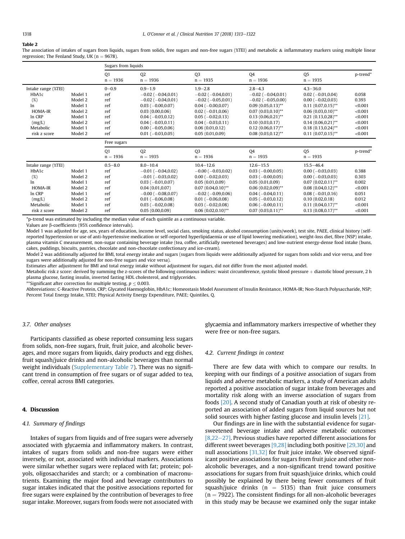#### <span id="page-6-0"></span>Table 2

The association of intakes of sugars from liquids, sugars from solids, free sugars and non-free sugars (%TEI) and metabolic  $\&$  inflammatory markers using multiple linear regression: The Fenland Study, UK  $(n = 9678)$ .

|                     |         | Sugars from liquids |                           |                           |                          |                              |          |
|---------------------|---------|---------------------|---------------------------|---------------------------|--------------------------|------------------------------|----------|
|                     |         | 01<br>$n = 1936$    | 02<br>$n = 1936$          | <b>Q3</b><br>$n = 1935$   | <b>Q4</b><br>$n = 1936$  | Q <sub>5</sub><br>$n = 1935$ | p-trend* |
| Intake range (%TEI) |         | $0 - 0.9$           | $0.9 - 1.9$               | $1.9 - 2.8$               | $2.8 - 4.3$              | $4.3 - 36.0$                 |          |
| HbA1c               | Model 1 | ref                 | $-0.02$ ( $-0.04,0.01$ )  | $-0.02$ ( $-0.04, 0.01$ ) | $-0.02$ ( $-0.04,0.01$ ) | $0.02 (-0.01, 0.04)$         | 0.058    |
| (%)                 | Model 2 | ref                 | $-0.02$ ( $-0.04, 0.01$ ) | $-0.02$ ( $-0.05,0.01$ )  | $-0.02$ ( $-0.05,0.00$ ) | $0.00 (-0.02, 0.03)$         | 0.393    |
| ln                  | Model 1 | ref                 | $0.03(-0.00.0.07)$        | $0.04 (-0.00, 0.07)$      | $0.09(0.05,0.13)$ **     | $0.11(0.07,0.15)$ **         | < 0.001  |
| HOMA-IR             | Model 2 | ref                 | 0.03(0.00.0.06)           | $0.02$ (-0.01,0.06)       | $0.07(0.03,0.10)$ **     | $0.06(0.03.0.10)$ **         | < 0.001  |
| In CRP              | Model 1 | ref                 | $0.04 (-0.03, 0.12)$      | $0.05 (-0.02, 0.13)$      | $0.13(0.06, 0.21)$ **    | $0.21(0.13,0.28)$ **         | < 0.001  |
| (mg/L)              | Model 2 | ref                 | $0.04 (-0.03, 0.11)$      | $0.04 (-0.03, 0.11)$      | 0.10(0.03,0.17)          | $0.14(0.06, 0.21)$ **        | < 0.001  |
| Metabolic           | Model 1 | ref                 | $0.00 (-0.05, 0.06)$      | 0.06(0.01, 0.12)          | $0.12(0.06, 0.17)$ **    | $0.18(0.13,0.24)$ **         | < 0.001  |
| risk z score        | Model 2 | ref                 | $0.01 (-0.03, 0.05)$      | 0.05(0.01, 0.09)          | $0.08(0.03,0.12)$ **     | $0.11(0.07,0.15)$ **         | < 0.001  |
|                     |         |                     |                           |                           |                          |                              |          |
|                     |         | Free sugars         |                           |                           |                          |                              |          |
|                     |         | O <sub>1</sub>      | 02                        | O <sub>3</sub>            | <b>Q4</b>                | Q <sub>5</sub>               | p-trend* |
|                     |         | $n = 1936$          | $n = 1935$                | $n = 1936$                | $n = 1935$               | $n = 1935$                   |          |
| Intake range (%TEI) |         | $0.5 - 8.0$         | $8.0 - 10.4$              | $10.4 - 12.6$             | $12.6 - 15.5$            | $15.5 - 46.4$                |          |
| HbA1c               | Model 1 | ref                 | $-0.01$ ( $-0.04,0.02$ )  | $-0.00$ ( $-0.03,0.02$ )  | $0.03(-0.00, 0.05)$      | $0.00 (-0.03, 0.03)$         | 0.388    |
| (%)                 | Model 2 | ref                 | $-0.01$ ( $-0.03,0.02$ )  | $0.00 (-0.02, 0.03)$      | $0.03(-0.00, 0.05)$      | $0.00 (-0.03, 0.03)$         | 0.303    |
| ln.                 | Model 1 | ref                 | $0.03(-0.01.0.07)$        | 0.05(0.01, 0.09)          | 0.05(0.01,0.09)          | $0.07(0.02,0.11)$ **         | 0.002    |
| HOMA-IR             | Model 2 | ref                 | 0.04(0.01,0.07)           | $0.07(0.04,0.10)$ **      | $0.06(0.02,0.09)$ **     | $0.08(0.04, 0.12)$ **        | < 0.001  |
| In CRP              | Model 1 | ref                 | $-0.00$ ( $-0.08,0.07$ )  | $-0.02$ ( $-0.09,0.06$ )  | $0.04 (-0.04, 0.11)$     | $0.08(-0.01, 0.16)$          | 0.051    |
| (mg/L)              | Model 2 | ref                 | $0.01 (-0.06, 0.08)$      | $0.01 (-0.06, 0.08)$      | $0.05 (-0.03, 0.12)$     | 0.10(0.02,0.18)              | 0.012    |
| Metabolic           | Model 1 | ref                 | $0.03(-0.02,0.08)$        | $0.03(-0.02,0.08)$        | $0.06(-0.00, 0.11)$      | $0.11(0.04,0.17)$ **         | < 0.001  |

\*p-trend was estimated by including the median value of each quintile as a continuous variable.

Values are b-coefficients (95% confidence intervals).

Model 1 was adjusted for age, sex, years of education, income level, social class, smoking status, alcohol consumption (units/week), test site, PAEE, clinical history (selfreported hypertension or use of anti-hypertensive medication or self-reported hyperlipidaemia or use of lipid lowering medication), weight-loss diet, fibre (NSP) intake, plasma vitamin C measurement, non-sugar containing beverage intake (tea, coffee, artificially sweetened beverages) and low-nutrient energy-dense food intake (buns, cakes, puddings, biscuits, pastries, chocolate and non-chocolate confectionary and ice-cream).

Model 2 was additionally adjusted for BMI, total energy intake and sugars (sugars from liquids were additionally adjusted for sugars from solids and vice versa, and free sugars were additionally adjusted for non-free sugars and vice versa).

Estimates after adjustment for BMI and total energy intake without adjustment for sugars, did not differ from the most adjusted model. Metabolic risk z score: derived by summing the z-scores of the following continuous indices: waist circumference, systolic blood pressure + diastolic blood pressure, 2 h plasma glucose, fasting insulin, inverted fasting HDL cholesterol, and triglycerides.

\*\*Significant after correction for multiple testing,  $p \leq 0.003$ .

Abbreviations: C-Reactive Protein, CRP; Glycated Haemoglobin, HbA1c; Homeostasis Model Assessment of Insulin Resistance, HOMA-IR; Non-Starch Polysaccharide, NSP; Percent Total Energy Intake, %TEI; Physical Activity Energy Expenditure, PAEE; Quintiles, Q.

# 3.7. Other analyses

Participants classified as obese reported consuming less sugars from solids, non-free sugars, fruit, fruit juice, and alcoholic beverages, and more sugars from liquids, dairy products and egg dishes, fruit squash/juice drinks and non-alcoholic beverages than normal weight individuals (Supplementary Table 7). There was no significant trend in consumption of free sugars or of sugar added to tea, coffee, cereal across BMI categories.

# 4. Discussion

## 4.1. Summary of findings

Intakes of sugars from liquids and of free sugars were adversely associated with glycaemia and inflammatory makers. In contrast, intakes of sugars from solids and non-free sugars were either inversely, or not, associated with individual markers. Associations were similar whether sugars were replaced with fat; protein; polyols, oligosaccharides and starch; or a combination of macronutrients. Examining the major food and beverage contributors to sugar intakes indicated that the positive associations reported for free sugars were explained by the contribution of beverages to free sugar intake. Moreover, sugars from foods were not associated with glycaemia and inflammatory markers irrespective of whether they were free or non-free sugars.

## 4.2. Current findings in context

There are few data with which to compare our results. In keeping with our findings of a positive association of sugars from liquids and adverse metabolic markers, a study of American adults reported a positive association of sugar intake from beverages and mortality risk along with an inverse association of sugars from foods [\[20\]](#page-10-0). A second study of Canadian youth at risk of obesity reported an association of added sugars from liquid sources but not solid sources with higher fasting glucose and insulin levels [\[21\].](#page-10-0)

Our findings are in line with the substantial evidence for sugarsweetened beverage intake and adverse metabolic outcomes  $[8,22-27]$  $[8,22-27]$  $[8,22-27]$ . Previous studies have reported different associations for different sweet beverages [\[9,28\]](#page-10-0) including both positive [\[29,30\]](#page-10-0) and null associations [\[31,32\]](#page-10-0) for fruit juice intake. We observed significant positive associations for sugars from fruit juice and other nonalcoholic beverages, and a non-significant trend toward positive associations for sugars from fruit squash/juice drinks, which could possibly be explained by there being fewer consumers of fruit squash/juice drinks ( $n = 5135$ ) than fruit juice consumers  $(n = 7922)$ . The consistent findings for all non-alcoholic beverages in this study may be because we examined only the sugar intake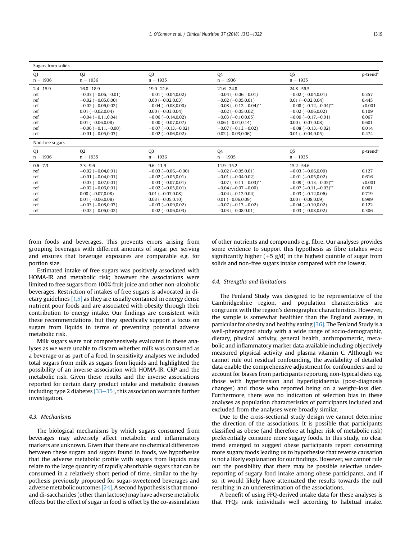| Sugars from solids                                                   |                                                                                                                                                                                                                                       |                                                                                                                                                                                                                                |                                                                                                                                                                                                                                      |                                                                                                                                                                                                                                                      |                                                                        |  |  |
|----------------------------------------------------------------------|---------------------------------------------------------------------------------------------------------------------------------------------------------------------------------------------------------------------------------------|--------------------------------------------------------------------------------------------------------------------------------------------------------------------------------------------------------------------------------|--------------------------------------------------------------------------------------------------------------------------------------------------------------------------------------------------------------------------------------|------------------------------------------------------------------------------------------------------------------------------------------------------------------------------------------------------------------------------------------------------|------------------------------------------------------------------------|--|--|
| 01<br>$n = 1936$                                                     | <b>Q2</b><br>$n = 1936$                                                                                                                                                                                                               | O <sub>3</sub><br>$n = 1935$                                                                                                                                                                                                   | 04<br>$n = 1936$                                                                                                                                                                                                                     | Q <sub>5</sub><br>$n = 1935$                                                                                                                                                                                                                         | p-trend*                                                               |  |  |
| $2.4 - 15.9$<br>ref<br>ref<br>ref<br>ref<br>ref<br>ref<br>ref<br>ref | $16.0 - 18.9$<br>$-0.03$ ( $-0.06$ , $-0.01$ )<br>$-0.02$ ( $-0.05,0.00$ )<br>$-0.02$ ( $-0.06,0.02$ )<br>$0.01(-0.02.0.04)$<br>$-0.04(-0.11.0.04)$<br>$0.01 (-0.06, 0.08)$<br>$-0.06$ ( $-0.11, -0.00$ )<br>$-0.01$ ( $-0.05,0.03$ ) | $19.0 - 21.6$<br>$-0.01$ ( $-0.04,0.02$ )<br>$0.00 (-0.02, 0.03)$<br>$-0.04(-0.08,0.00)$<br>$0.00(-0.03.0.04)$<br>$-0.06(-0.14.0.02)$<br>$-0.00$ ( $-0.07,0.07$ )<br>$-0.07$ ( $-0.13$ , $-0.02$ )<br>$-0.02$ ( $-0.06,0.02$ ) | $21.6 - 24.8$<br>$-0.04(-0.06,-0.01)$<br>$-0.02$ ( $-0.05,0.01$ )<br>$-0.08$ ( $-0.12,-0.04$ )**<br>$-0.02$ ( $-0.05.0.02$ )<br>$-0.03(-0.10,0.05)$<br>$0.06(-0.01,0.14)$<br>$-0.07$ ( $-0.13,-0.02$ )<br>$0.02 (-0.03, 0.06)$       | $24.8 - 56.5$<br>$-0.02$ ( $-0.04, 0.01$ )<br>$0.01 (-0.02, 0.04)$<br>$-0.08$ ( $-0.12$ , $-0.04$ )**<br>$-0.02$ ( $-0.06.0.02$ )<br>$-0.09$ ( $-0.17, -0.01$ )<br>$0.00 (-0.07, 0.08)$<br>$-0.08$ ( $-0.13,-0.02$ )<br>$0.01 (-0.04, 0.05)$         | 0.357<br>0.445<br>< 0.001<br>0.109<br>0.067<br>0.601<br>0.014<br>0.474 |  |  |
| Non-free sugars                                                      |                                                                                                                                                                                                                                       |                                                                                                                                                                                                                                |                                                                                                                                                                                                                                      |                                                                                                                                                                                                                                                      |                                                                        |  |  |
| 01<br>$n = 1936$                                                     | 02<br>$n = 1935$                                                                                                                                                                                                                      | Q <sub>3</sub><br>$n = 1936$                                                                                                                                                                                                   | 04<br>$n = 1935$                                                                                                                                                                                                                     | Q <sub>5</sub><br>$n = 1935$                                                                                                                                                                                                                         | p-trend*                                                               |  |  |
| $0.6 - 7.3$<br>ref<br>ref<br>ref<br>ref<br>ref<br>ref<br>ref<br>ref  | $7.3 - 9.6$<br>$-0.02$ ( $-0.04, 0.01$ )<br>$-0.01(-0.04,0.01)$<br>$-0.03(-0.07,0.01)$<br>$-0.02$ ( $-0.06,0.01$ )<br>$0.00 (-0.07, 0.08)$<br>$0.01 (-0.06, 0.08)$<br>$-0.03$ ( $-0.08,0.03$ )<br>$-0.02$ ( $-0.06, 0.02$ )           | $9.6 - 11.9$<br>$-0.03$ ( $-0.06,-0.00$ )<br>$-0.02$ ( $-0.05,0.01$ )<br>$-0.03(-0.07,0.01)$<br>$-0.02$ ( $-0.05,0.01$ )<br>$0.01 (-0.07, 0.08)$<br>$0.03(-0.05,0.10)$<br>$-0.03$ ( $-0.09,0.02$ )<br>$-0.02$ ( $-0.06,0.03$ ) | $11.9 - 15.2$<br>$-0.02$ ( $-0.05,0.01$ )<br>$-0.01$ ( $-0.04,0.02$ )<br>$-0.07$ ( $-0.11, -0.03$ )**<br>$-0.04(-0.07,-0.00)$<br>$-0.04(-0.12,0.04)$<br>$0.01 (-0.06, 0.09)$<br>$-0.07$ ( $-0.13$ , $-0.02$ )<br>$-0.03(-0.08,0.01)$ | $15.2 - 54.6$<br>$-0.03$ ( $-0.06, 0.00$ )<br>$-0.01$ ( $-0.05,0.02$ )<br>$-0.09$ ( $-0.13$ , $-0.05$ )**<br>$-0.07$ ( $-0.11,-0.03$ )**<br>$-0.03$ ( $-0.12,0.06$ )<br>$0.00 (-0.08, 0.09)$<br>$-0.04$ ( $-0.10,0.02$ )<br>$-0.03$ ( $-0.08,0.02$ ) | 0.127<br>0.616<br>< 0.001<br>0.001<br>0.719<br>0.999<br>0.122<br>0.306 |  |  |

from foods and beverages. This prevents errors arising from grouping beverages with different amounts of sugar per serving and ensures that beverage exposures are comparable e.g. for portion size.

Estimated intake of free sugars was positively associated with HOMA-IR and metabolic risk; however the associations were limited to free sugars from 100% fruit juice and other non-alcoholic beverages. Restriction of intakes of free sugars is advocated in dietary guidelines [\[1,5\]](#page-10-0) as they are usually contained in energy dense nutrient poor foods and are associated with obesity through their contribution to energy intake. Our findings are consistent with these recommendations, but they specifically support a focus on sugars from liquids in terms of preventing potential adverse metabolic risk.

Milk sugars were not comprehensively evaluated in these analyses as we were unable to discern whether milk was consumed as a beverage or as part of a food. In sensitivity analyses we included total sugars from milk as sugars from liquids and highlighted the possibility of an inverse association with HOMA-IR, CRP and the metabolic risk. Given these results and the inverse associations reported for certain dairy product intake and metabolic diseases including type 2 diabetes  $[33-35]$  $[33-35]$ , this association warrants further investigation.

# 4.3. Mechanisms

The biological mechanisms by which sugars consumed from beverages may adversely affect metabolic and inflammatory markers are unknown. Given that there are no chemical differences between these sugars and sugars found in foods, we hypothesise that the adverse metabolic profile with sugars from liquids may relate to the large quantity of rapidly absorbable sugars that can be consumed in a relatively short period of time, similar to the hypothesis previously proposed for sugar-sweetened beverages and adverse metabolic outcomes [\[24\].](#page-10-0) A second hypothesis is that monoand di-saccharides (other than lactose) may have adverse metabolic effects but the effect of sugar in food is offset by the co-assimilation of other nutrients and compounds e.g. fibre. Our analyses provides some evidence to support this hypothesis as fibre intakes were significantly higher (+5 g/d) in the highest quintile of sugar from solids and non-free sugars intake compared with the lowest.

## 4.4. Strengths and limitations

The Fenland Study was designed to be representative of the Cambridgeshire region, and population characteristics are congruent with the region's demographic characteristics. However, the sample is somewhat healthier than the England average, in particular for obesity and healthy eating [\[36\].](#page-10-0) The Fenland Study is a well-phenotyped study with a wide range of socio-demographic, dietary, physical activity, general health, anthropometric, metabolic and inflammatory marker data available including objectively measured physical activity and plasma vitamin C. Although we cannot rule out residual confounding, the availability of detailed data enable the comprehensive adjustment for confounders and to account for biases from participants reporting non-typical diets e.g. those with hypertension and hyperlipidaemia (post-diagnosis changes) and those who reported being on a weight-loss diet. Furthermore, there was no indication of selection bias in these analyses as population characteristics of participants included and excluded from the analyses were broadly similar.

Due to the cross-sectional study design we cannot determine the direction of the associations. It is possible that participants classified as obese (and therefore at higher risk of metabolic risk) preferentially consume more sugary foods. In this study, no clear trend emerged to suggest obese participants report consuming more sugary foods leading us to hypothesise that reverse causation is not a likely explanation for our findings. However, we cannot rule out the possibility that there may be possible selective underreporting of sugary food intake among obese participants, and if so, it would likely have attenuated the results towards the null resulting in an underestimation of the associations.

A benefit of using FFQ-derived intake data for these analyses is that FFQs rank individuals well according to habitual intake.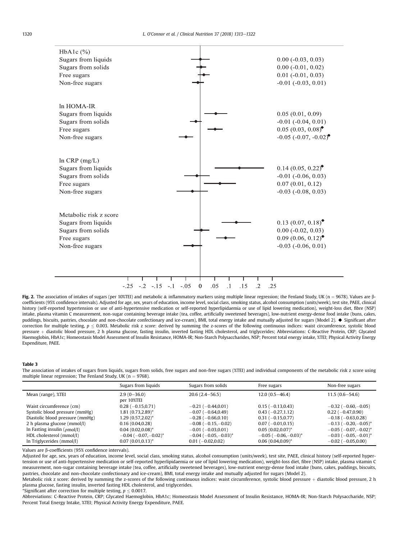<span id="page-8-0"></span>

Fig. 2. The association of intakes of sugars (per 10%TEI) and metabolic & inflammatory markers using multiple linear regression; the Fenland Study, UK (n = 9678). Values are  $\beta$ coefficients (95% confidence intervals). Adjusted for age, sex, years of education, income level, social class, smoking status, alcohol consumption (units/week), test site, PAEE, clinical history (self-reported hypertension or use of anti-hypertensive medication or self-reported hyperlipidaemia or use of lipid lowering medication), weight-loss diet, fibre (NSP) intake, plasma vitamin C measurement, non-sugar containing beverage intake (tea, coffee, artificially sweetened beverages), low-nutrient energy-dense food intake (buns, cakes, puddings, biscuits, pastries, chocolate and non-chocolate confectionary and ice-cream), BMI, total energy intake and mutually adjusted for sugars (Model 2). A Significant after correction for multiple testing,  $p \le 0.003$ . Metabolic risk z score: derived by summing the z-scores of the following continuous indices: waist circumference, systolic blood pressure + diastolic blood pressure, 2 h plasma glucose, fasting insulin, inverted fasting HDL cholesterol, and triglycerides; Abbreviations: C-Reactive Protein, CRP; Glycated Haemoglobin, HbA1c; Homeostasis Model Assessment of Insulin Resistance, HOMA-IR; Non-Starch Polysaccharides, NSP; Percent total energy intake, %TEI; Physical Activity Energy Expenditure, PAEE.

#### Table 3

The association of intakes of sugars from liquids, sugars from solids, free sugars and non-free sugars (%TEI) and individual components of the metabolic risk z score using multiple linear regression; The Fenland Study, UK ( $n = 9768$ ).

|                                   | Sugars from liquids            | Sugars from solids         | Free sugars                | Non-free sugars                      |
|-----------------------------------|--------------------------------|----------------------------|----------------------------|--------------------------------------|
| Mean (range), <i>%</i> TEI        | $2.9(0-36.0)$<br>per 10%TEI    | $20.6(2.4 - 56.5)$         | $12.0(0.5 - 46.4)$         | $11.5(0.6 - 54.6)$                   |
| Waist circumference (cm)          | $0.28(-0.15,0.71)$             | $-0.21(-0.44, 0.01)$       | $0.15(-0.13,0.43)$         | $-0.32$ ( $-0.60$ , $-0.05$ )        |
| Systolic blood pressure (mmHg)    | $1.81(0.73, 2.89)^*$           | $-0.07(-0.64, 0.49)$       | $0.43(-0.27,1.12)$         | $0.22(-0.47,0.90)$                   |
| Diastolic blood pressure (mmHg)   | $1.29(0.57, 2.02)^*$           | $-0.28$ ( $-0.66, 0.10$ )  | $0.31(-0.15,0.77)$         | $-0.18$ ( $-0.63,0.28$ )             |
| 2 h plasma glucose (mmol/l)       | 0.16(0.04, 0.28)               | $-0.08$ ( $-0.15,-0.02$ )  | $0.07(-0.01, 0.15)$        | $-0.13$ ( $-0.20,-0.05$ )*           |
| In Fasting insulin $(\rho mol/l)$ | $0.04(0.02,0.08)^*$            | $-0.01$ ( $-0.03,0.01$ )   | $0.05(0.02,0.07)^*$        | $-0.05$ ( $-0.07,-0.02$ )*           |
| HDL cholesterol (mmol/l)          | $-0.04$ ( $-0.07$ , $-0.02$ )* | $-0.04$ ( $-0.05,-0.03$ )* | $-0.05$ ( $-0.06,-0.03$ )* | $-0.03$ ( $-0.05,-0.01$ <sup>*</sup> |
| In Triglycerides (mmol/l)         | $0.07(0.01, 0.13)^*$           | $0.01 (-0.02, 0.02)$       | $0.06(0.04, 0.09)^*$       | $-0.02$ ( $-0.05,0.00$ )             |

Values are β-coefficients (95% confidence intervals).

Adjusted for age, sex, years of education, income level, social class, smoking status, alcohol consumption (units/week), test site, PAEE, clinical history (self-reported hypertension or use of anti-hypertensive medication or self-reported hyperlipidaemia or use of lipid lowering medication), weight-loss diet, fibre (NSP) intake, plasma vitamin C measurement, non-sugar containing beverage intake (tea, coffee, artificially sweetened beverages), low-nutrient energy-dense food intake (buns, cakes, puddings, biscuits, pastries, chocolate and non-chocolate confectionary and ice-cream), BMI, total energy intake and mutually adjusted for sugars (Model 2).

Metabolic risk z score: derived by summing the z-scores of the following continuous indices: waist circumference, systolic blood pressure + diastolic blood pressure, 2 h plasma glucose, fasting insulin, inverted fasting HDL cholesterol, and triglycerides.

\*Significant after correction for multiple testing,  $p \leq 0.0017$ .

Abbreviations: C-Reactive Protein, CRP; Glycated Haemoglobin, HbA1c; Homeostasis Model Assessment of Insulin Resistance, HOMA-IR; Non-Starch Polysaccharide, NSP; Percent Total Energy Intake, %TEI; Physical Activity Energy Expenditure, PAEE.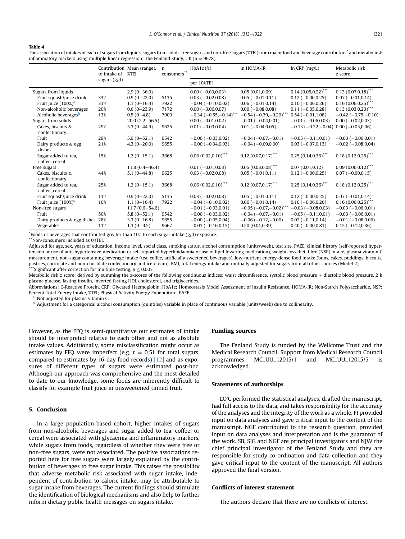## <span id="page-9-0"></span>Table 4

The association of intakes of each of sugars from liquids, sugars from solids, free sugars and non-free sugars (%TEI) from major food and beverage contributors\* and metabolic & inflammatory markers using multiple linear regression; The Fenland Study, UK ( $n = 9678$ ).

|                                       | to intake of   | Contribution Mean (range),<br>%TEI | n<br>consumers <sup>7</sup> | $HbA1c$ $(\%)$               | In HOMA-IR                              | $ln$ CRP $(mg/L)$             | Metabolic risk<br>z score |
|---------------------------------------|----------------|------------------------------------|-----------------------------|------------------------------|-----------------------------------------|-------------------------------|---------------------------|
|                                       | sugars $(g/d)$ |                                    |                             | per 10%TEI                   |                                         |                               |                           |
| Sugars from liquids                   |                | $2.9(0-36.0)$                      |                             | $0.00 (-0.03, 0.03)$         | 0.05(0.01,0.09)                         | $0.14(0.05,0.22)$ ***         | $0.13(0.07,0.18)$ ***     |
| Fruit squash/juice drink              | 33%            | $0.9(0-22.0)$                      | 5135                        | $0.03(-0.02,0.08)$           | $0.05 (-0.01, 0.11)$                    | $0.12 (-0.00, 0.25)$          | $0.07 (-0.01, 0.14)$      |
| Fruit juice $(100\%)^a$               | 33%            | $1.1(0-16.4)$                      | 7922                        | $-0.04$ ( $-0.10,0.02$ )     | $0.06(-0.01, 0.14)$                     | $0.10 (-0.06, 0.26)$          | $0.16(0.06, 0.25)^{**}$   |
| Non-alcoholic beverages               | 20%            | $0.6(0-23.9)$                      | 7172                        | $0.00 (-0.06, 0.07)$         | $0.00 (-0.08, 0.08)$                    | $0.11 (-0.05, 0.28)$          | $0.13(0.03,0.23)$ ***     |
| Alcoholic beverages <sup>b</sup>      | 13%            | $0.5(0-4.8)$                       | 7900                        | $-0.34$ ( $-0.55,-0.14$ )*** | $-0.54$ ( $-0.79,-0.29$ ) <sup>**</sup> | $0.54(-0.01,1.08)$            | $-0.42$ ( $-0.75,-0.10$ ) |
| Sugars from solids                    |                | $20.0(2.2 - 56.5)$                 |                             | $0.00 (-0.01, 0.02)$         | $-0.01$ ( $-0.04, 0.01$ )               | $-0.01$ ( $-0.06, 0.03$ )     | $0.00 (-0.02, 0.03)$      |
| Cakes, biscuits &<br>confectionary    | 29%            | 5.3 $(0-44.9)$                     | 9625                        | $0.01 (-0.03, 0.04)$         | $0.01 (-0.04, 0.05)$                    | $-0.13$ ( $-0.22$ , $-0.04$ ) | $0.00 (-0.05, 0.06)$      |
| Fruit                                 | 29%            | $5.9(0-52.1)$                      | 9542                        | $-0.00$ ( $-0.03,0.02$ )     | $-0.04(-0.07,-0.01)$                    | $-0.05$ ( $-0.11,0.01$ )      | $-0.03$ ( $-0.06,0.01$ )  |
| Dairy products & egg<br>dishes        | 21%            | $4.3(0-20.0)$                      | 9655                        | $-0.00$ ( $-0.04,0.03$ )     | $-0.04$ ( $-0.09,0.00$ )                | $0.03(-0.07,0.13)$            | $-0.02$ ( $-0.08, 0.04$ ) |
| Sugar added to tea,<br>coffee, cereal | 15%            | $1.2(0-15.1)$                      | 3668                        | $0.06(0.02,0.10)^{***}$      | $0.12(0.07,0.17)$ ***                   | $0.25(0.14.0.36)$ ***         | $0.18(0.12,0.25)$ ***     |
| Free sugars                           |                | $11.8(0.4 - 46.4)$                 |                             | $0.01 (-0.01.0.03)$          | $0.05(0.03,0.08)$ ***                   | 0.07(0.01, 0.12)              | $0.09(0.06, 0.12)$ ***    |
| Cakes, biscuits &<br>confectionary    | 44%            | $5.1(0-44.8)$                      | 9625                        | $0.03(-0.02,0.08)$           | $0.05(-0.01,0.11)$                      | $0.12 (-0.00, 0.25)$          | $0.07 (-0.00, 0.15)$      |
| Sugar added to tea,<br>coffee, cereal | 25%            | $1.2(0-15.1)$                      | 3668                        | $0.06(0.02,0.10)$ ***        | $0.12(0.07,0.17)$ ***                   | $0.25(0.14, 0.36)$ ***        | $0.18$ $(0.12, 0.25)$ *** |
| Fruit squash/juice drink              | 13%            | $0.9(0-22.0)$                      | 5135                        | $0.03(-0.02,0.08)$           | $0.05(-0.01,0.11)$                      | $0.12 (-0.00, 0.25)$          | $0.07 (-0.01, 0.14)$      |
| Fruit juice $(100\%)^a$               | 10%            | $1.1(0-16.4)$                      | 7922                        | $-0.04$ ( $-0.10,0.02$ )     | $0.06 (-0.01, 0.14)$                    | $0.10 (-0.06, 0.26)$          | $0.16(0.06, 0.25)$ ***    |
| Non-free sugars                       |                | $11.7(0.6 - 54.6)$                 |                             | $-0.01$ ( $-0.03,0.01$ )     | $-0.05$ ( $-0.07,-0.02$ ) <sup>**</sup> | $-0.03$ ( $-0.08,0.03$ )      | $-0.03$ ( $-0.06, 0.01$ ) |
| Fruit                                 | 50%            | $5.8(0-52.1)$                      | 9542                        | $-0.00$ ( $-0.03,0.02$ )     | $-0.04(-0.07,-0.01)$                    | $-0.05$ ( $-0.11,0.01$ )      | $-0.03$ ( $-0.06, 0.01$ ) |
| Dairy products & egg dishes 28%       |                | $3.3(0-16.8)$                      | 9655                        | $-0.00$ ( $-0.05, 0.04$ )    | $-0.06$ ( $-0.12, -0.00$ )              | $0.02$ (-0.11,0.14)           | $-0.01$ ( $-0.08,0.06$ )  |
| Vegetables                            | 11%            | $1.3(0-9.5)$                       | 9667                        | $-0.01$ ( $-0.16,0.15$ )     | 0.20(0.01, 0.39)                        | $0.40$ ( $-0.00,0.81$ )       | $0.12 (-0.12, 0.36)$      |

\* Foods or beverages that contributed greater than 10% to each sugar intake (g/d) exposure.

\*\*Non-consumers included as 0%TEI.

Adjusted for age, sex, years of education, income level, social class, smoking status, alcohol consumption (units/week), test site, PAEE, clinical history (self-reported hypertension or use of anti-hypertensive medication or self-reported hyperlipidaemia or use of lipid lowering medication), weight-loss diet, fibre (NSP) intake, plasma vitamin C measurement, non-sugar containing beverage intake (tea, coffee, artificially sweetened beverages), low-nutrient energy-dense food intake (buns, cakes, puddings, biscuits, pastries, chocolate and non-chocolate confectionary and ice-cream), BMI, total energy intake and mutually adjusted for sugars from all other sources (Model 2). Significant after correction for multiple testing,  $p \leq 0.003$ .

Metabolic risk z score: derived by summing the z-scores of the following continuous indices: waist circumference, systolic blood pressure + diastolic blood pressure, 2 h plasma glucose, fasting insulin, inverted fasting HDL cholesterol, and triglycerides.

Abbreviations: C-Reactive Protein, CRP; Glycated Haemoglobin, HbA1c; Homeostasis Model Assessment of Insulin Resistance, HOMA-IR; Non-Starch Polysaccharide, NSP; Percent Total Energy Intake, %TEI; Physical Activity Energy Expenditure, PAEE.

<sup>a</sup> Not adjusted for plasma vitamin C.<br> $\frac{b}{c}$  Adjustment for a categorical alcohe

<sup>b</sup> Adjustment for a categorical alcohol consumption (quintiles) variable in place of continuous variable (units/week) due to collinearity.

However, as the FFQ is semi-quantitative our estimates of intake should be interpreted relative to each other and not as absolute intake values. Additionally, some misclassification might occur as estimates by FFQ were imperfect (e.g.  $r = 0.51$  for total sugars, compared to estimates by 16-day food records) [\[12\]](#page-10-0) and as exposures of different types of sugars were estimated post-hoc. Although our approach was comprehensive and the most detailed to date to our knowledge, some foods are inherently difficult to classify for example fruit juice in unsweetened tinned fruit.

# 5. Conclusion

In a large population-based cohort, higher intakes of sugars from non-alcoholic beverages and sugar added to tea, coffee, or cereal were associated with glycaemia and inflammatory markers, while sugars from foods, regardless of whether they were free or non-free sugars, were not associated. The positive associations reported here for free sugars were largely explained by the contribution of beverages to free sugar intake. This raises the possibility that adverse metabolic risk associated with sugar intake, independent of contribution to caloric intake, may be attributable to sugar intake from beverages. The current findings should stimulate the identification of biological mechanisms and also help to further inform dietary public health messages on sugars intake.

## Funding sources

The Fenland Study is funded by the Wellcome Trust and the Medical Research Council. Support from Medical Research Council programmes MC\_UU\_12015/1 and MC\_UU\_12015/5 is acknowledged.

## Statements of authorships

LO'C performed the statistical analyses, drafted the manuscript, had full access to the data, and takes responsibility for the accuracy of the analyses and the integrity of the work as a whole. FI provided input on data analyses and gave critical input to the content of the manuscript. NGF contributed to the research question, provided input on data analyses and interpretation and is the guarantor of the work. SB, SJG and NGF are principal investigators and NJW the chief principal investigator of the Fenland Study and they are responsible for study co-ordination and data collection and they gave critical input to the content of the manuscript. All authors approved the final version.

# Conflicts of interest statement

The authors declare that there are no conflicts of interest.